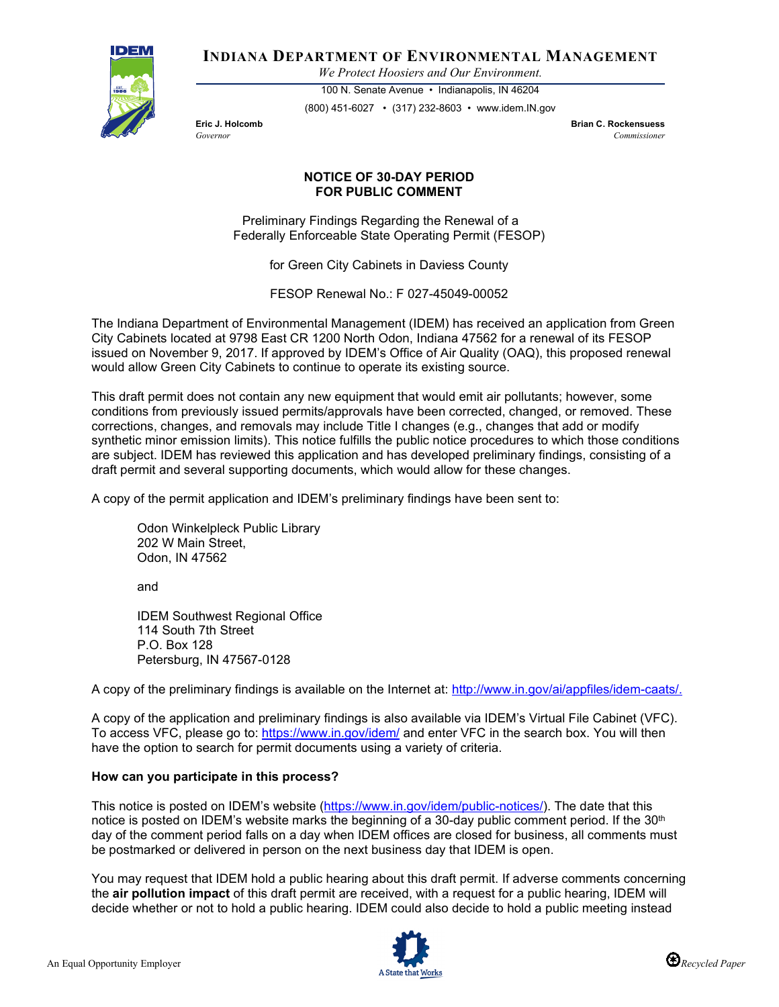

**INDIANA DEPARTMENT OF ENVIRONMENTAL MANAGEMENT**

*We Protect Hoosiers and Our Environment.*

100 N. Senate Avenue • Indianapolis, IN 46204 (800) 451-6027 • (317) 232-8603 • www.idem.IN.gov

**Eric J. Holcomb Brian C. Rockensuess** *Governor Commissioner* 

## **NOTICE OF 30-DAY PERIOD FOR PUBLIC COMMENT**

Preliminary Findings Regarding the Renewal of a Federally Enforceable State Operating Permit (FESOP)

for Green City Cabinets in Daviess County

FESOP Renewal No.: F 027-45049-00052

The Indiana Department of Environmental Management (IDEM) has received an application from Green City Cabinets located at 9798 East CR 1200 North Odon, Indiana 47562 for a renewal of its FESOP issued on November 9, 2017. If approved by IDEM's Office of Air Quality (OAQ), this proposed renewal would allow Green City Cabinets to continue to operate its existing source.

This draft permit does not contain any new equipment that would emit air pollutants; however, some conditions from previously issued permits/approvals have been corrected, changed, or removed. These corrections, changes, and removals may include Title I changes (e.g., changes that add or modify synthetic minor emission limits). This notice fulfills the public notice procedures to which those conditions are subject. IDEM has reviewed this application and has developed preliminary findings, consisting of a draft permit and several supporting documents, which would allow for these changes.

A copy of the permit application and IDEM's preliminary findings have been sent to:

Odon Winkelpleck Public Library 202 W Main Street, Odon, IN 47562

and

IDEM Southwest Regional Office 114 South 7th Street P.O. Box 128 Petersburg, IN 47567-0128

A copy of the preliminary findings is available on the Internet at: [http://www.in.gov/ai/appfiles/idem-caats/.](http://www.in.gov/ai/appfiles/idem-caats/)

A copy of the application and preliminary findings is also available via IDEM's Virtual File Cabinet (VFC). To access VFC, please go to:<https://www.in.gov/idem/> and enter VFC in the search box. You will then have the option to search for permit documents using a variety of criteria.

## **How can you participate in this process?**

This notice is posted on IDEM's website [\(https://www.in.gov/idem/public-notices/\)](https://www.in.gov/idem/public-notices/). The date that this notice is posted on IDEM's website marks the beginning of a 30-day public comment period. If the 30<sup>th</sup> day of the comment period falls on a day when IDEM offices are closed for business, all comments must be postmarked or delivered in person on the next business day that IDEM is open.

You may request that IDEM hold a public hearing about this draft permit. If adverse comments concerning the **air pollution impact** of this draft permit are received, with a request for a public hearing, IDEM will decide whether or not to hold a public hearing. IDEM could also decide to hold a public meeting instead